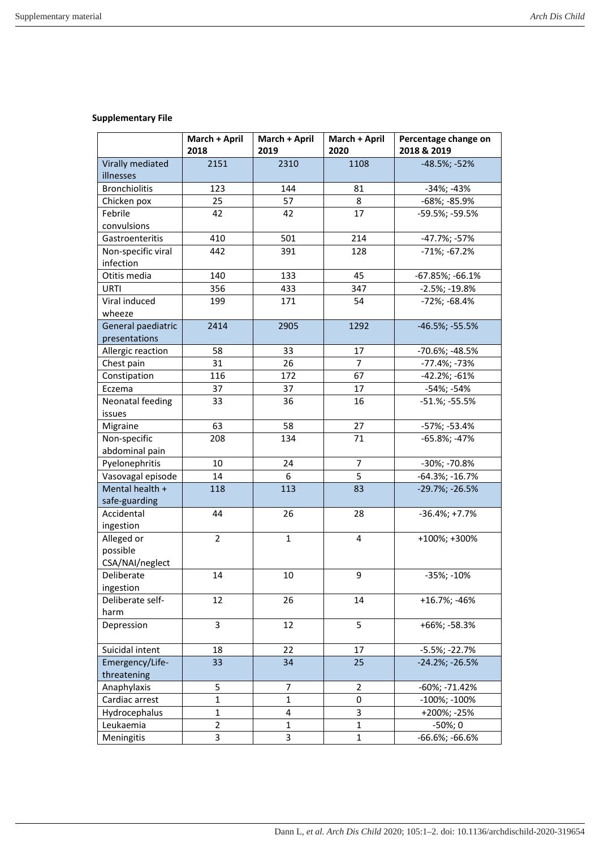## **Supplementary File**

|                                     | March + April<br>2018 | March + April<br>2019 | March + April<br>2020 | Percentage change on<br>2018 & 2019 |
|-------------------------------------|-----------------------|-----------------------|-----------------------|-------------------------------------|
| Virally mediated                    | 2151                  | 2310                  | 1108                  | -48.5%; -52%                        |
| illnesses                           |                       |                       |                       |                                     |
| <b>Bronchiolitis</b>                | 123                   | 144                   | 81                    | -34%; -43%                          |
| Chicken pox                         | 25                    | 57                    | 8                     | -68%; -85.9%                        |
| Febrile                             | 42                    | 42                    | 17                    | -59.5%; -59.5%                      |
| convulsions                         |                       |                       |                       |                                     |
| Gastroenteritis                     | 410                   | 501                   | 214                   | -47.7%; -57%                        |
| Non-specific viral                  | 442                   | 391                   | 128                   | $-71\%; -67.2\%$                    |
| infection                           |                       |                       |                       |                                     |
| Otitis media                        | 140                   | 133                   | 45                    | $-67.85\%; -66.1\%$                 |
| URTI                                | 356                   | 433                   | 347                   | $-2.5\%; -19.8\%$                   |
| Viral induced                       | 199                   | 171                   | 54                    | -72%; -68.4%                        |
| wheeze                              |                       |                       |                       |                                     |
| General paediatric<br>presentations | 2414                  | 2905                  | 1292                  | $-46.5\%; -55.5\%$                  |
| Allergic reaction                   | 58                    | 33                    | 17                    | -70.6%; -48.5%                      |
| Chest pain                          | 31                    | 26                    | 7                     | -77.4%; -73%                        |
| Constipation                        | 116                   | 172                   | 67                    | $-42.2\%; -61\%$                    |
| Eczema                              | 37                    | 37                    | 17                    | -54%; -54%                          |
| Neonatal feeding                    | 33                    | 36                    | 16                    | $-51.$ %; $-55.5%$                  |
| issues                              |                       |                       |                       |                                     |
| Migraine                            | 63                    | 58                    | 27                    | -57%; -53.4%                        |
| Non-specific                        | 208                   | 134                   | 71                    | $-65.8\%; -47\%$                    |
| abdominal pain                      |                       |                       |                       |                                     |
| Pyelonephritis                      | 10                    | 24                    | $\overline{7}$        | -30%; -70.8%                        |
| Vasovagal episode                   | 14                    | 6                     | 5                     | $-64.3\%; -16.7\%$                  |
| Mental health +                     | 118                   | 113                   | 83                    | $-29.7\%; -26.5\%$                  |
| safe-guarding                       |                       |                       |                       |                                     |
| Accidental                          | 44                    | 26                    | 28                    | $-36.4\%; +7.7\%$                   |
| ingestion                           |                       |                       |                       |                                     |
| Alleged or                          | $\overline{2}$        | $\mathbf{1}$          | 4                     | +100%; +300%                        |
| possible                            |                       |                       |                       |                                     |
| CSA/NAI/neglect                     |                       |                       |                       |                                     |
| Deliberate                          | 14                    | 10                    | 9                     | $-35\%; -10\%$                      |
| ingestion                           |                       |                       |                       |                                     |
| Deliberate self-                    | 12                    | 26                    | 14                    | +16.7%; -46%                        |
| harm                                |                       |                       |                       |                                     |
| Depression                          | 3                     | 12                    | 5                     | +66%; -58.3%                        |
| Suicidal intent                     | 18                    | 22                    | 17                    | $-5.5\%$ ; $-22.7\%$                |
| Emergency/Life-                     | 33                    | 34                    | 25                    | $-24.2\%; -26.5\%$                  |
| threatening                         |                       |                       |                       |                                     |
| Anaphylaxis                         | 5                     | 7                     | $\overline{2}$        | -60%; -71.42%                       |
| Cardiac arrest                      | $\mathbf 1$           | $\mathbf{1}$          | 0                     | -100%; -100%                        |
| Hydrocephalus                       | $\mathbf{1}$          | 4                     | 3                     | +200%; -25%                         |
| Leukaemia                           | $\overline{2}$        | 1                     | 1                     | $-50\%;0$                           |
| Meningitis                          | 3                     | 3                     | $\mathbf 1$           | -66.6%; -66.6%                      |